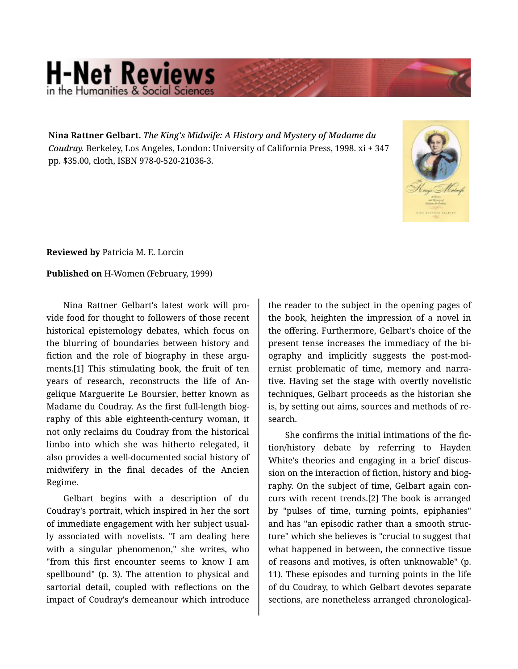## **H-Net Reviews** in the Humanities & Social S

**Nina Rattner Gelbart.** *The King's Midwife: A History and Mystery of Madame du Coudray.* Berkeley, Los Angeles, London: University of California Press, 1998. xi + 347 pp. \$35.00, cloth, ISBN 978-0-520-21036-3.



**Reviewed by** Patricia M. E. Lorcin

**Published on** H-Women (February, 1999)

Nina Rattner Gelbart's latest work will pro‐ vide food for thought to followers of those recent historical epistemology debates, which focus on the blurring of boundaries between history and fiction and the role of biography in these arguments.[1] This stimulating book, the fruit of ten years of research, reconstructs the life of An‐ gelique Marguerite Le Boursier, better known as Madame du Coudray. As the first full-length biog‐ raphy of this able eighteenth-century woman, it not only reclaims du Coudray from the historical limbo into which she was hitherto relegated, it also provides a well-documented social history of midwifery in the final decades of the Ancien Regime.

Gelbart begins with a description of du Coudray's portrait, which inspired in her the sort of immediate engagement with her subject usual‐ ly associated with novelists. "I am dealing here with a singular phenomenon," she writes, who "from this first encounter seems to know I am spellbound" (p. 3). The attention to physical and sartorial detail, coupled with reflections on the impact of Coudray's demeanour which introduce

the reader to the subject in the opening pages of the book, heighten the impression of a novel in the offering. Furthermore, Gelbart's choice of the present tense increases the immediacy of the bi‐ ography and implicitly suggests the post-mod‐ ernist problematic of time, memory and narra‐ tive. Having set the stage with overtly novelistic techniques, Gelbart proceeds as the historian she is, by setting out aims, sources and methods of re‐ search.

She confirms the initial intimations of the fic‐ tion/history debate by referring to Hayden White's theories and engaging in a brief discus‐ sion on the interaction of fiction, history and biography. On the subject of time, Gelbart again con‐ curs with recent trends.[2] The book is arranged by "pulses of time, turning points, epiphanies" and has "an episodic rather than a smooth struc‐ ture" which she believes is "crucial to suggest that what happened in between, the connective tissue of reasons and motives, is often unknowable" (p. 11). These episodes and turning points in the life of du Coudray, to which Gelbart devotes separate sections, are nonetheless arranged chronological‐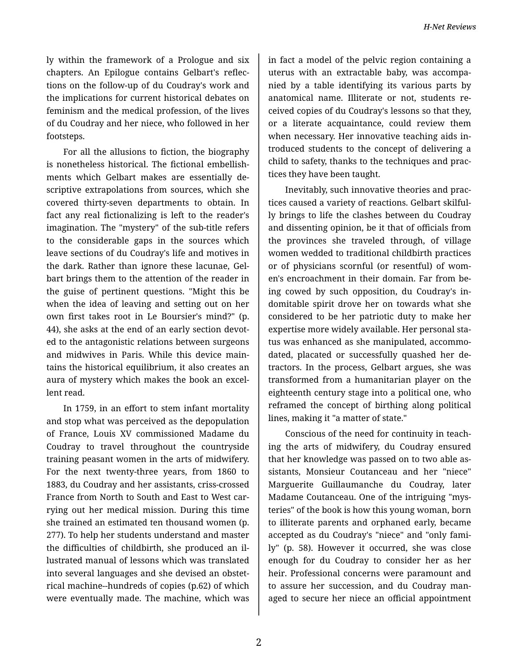ly within the framework of a Prologue and six chapters. An Epilogue contains Gelbart's reflec‐ tions on the follow-up of du Coudray's work and the implications for current historical debates on feminism and the medical profession, of the lives of du Coudray and her niece, who followed in her footsteps.

For all the allusions to fiction, the biography is nonetheless historical. The fictional embellish‐ ments which Gelbart makes are essentially de‐ scriptive extrapolations from sources, which she covered thirty-seven departments to obtain. In fact any real fictionalizing is left to the reader's imagination. The "mystery" of the sub-title refers to the considerable gaps in the sources which leave sections of du Coudray's life and motives in the dark. Rather than ignore these lacunae, Gel‐ bart brings them to the attention of the reader in the guise of pertinent questions. "Might this be when the idea of leaving and setting out on her own first takes root in Le Boursier's mind?" (p. 44), she asks at the end of an early section devoted to the antagonistic relations between surgeons and midwives in Paris. While this device main‐ tains the historical equilibrium, it also creates an aura of mystery which makes the book an excel‐ lent read.

In 1759, in an effort to stem infant mortality and stop what was perceived as the depopulation of France, Louis XV commissioned Madame du Coudray to travel throughout the countryside training peasant women in the arts of midwifery. For the next twenty-three years, from 1860 to 1883, du Coudray and her assistants, criss-crossed France from North to South and East to West car‐ rying out her medical mission. During this time she trained an estimated ten thousand women (p. 277). To help her students understand and master the difficulties of childbirth, she produced an il‐ lustrated manual of lessons which was translated into several languages and she devised an obstet‐ rical machine--hundreds of copies (p.62) of which were eventually made. The machine, which was

in fact a model of the pelvic region containing a uterus with an extractable baby, was accompa‐ nied by a table identifying its various parts by anatomical name. Illiterate or not, students re‐ ceived copies of du Coudray's lessons so that they, or a literate acquaintance, could review them when necessary. Her innovative teaching aids in‐ troduced students to the concept of delivering a child to safety, thanks to the techniques and prac‐ tices they have been taught.

Inevitably, such innovative theories and prac‐ tices caused a variety of reactions. Gelbart skilful‐ ly brings to life the clashes between du Coudray and dissenting opinion, be it that of officials from the provinces she traveled through, of village women wedded to traditional childbirth practices or of physicians scornful (or resentful) of wom‐ en's encroachment in their domain. Far from be‐ ing cowed by such opposition, du Coudray's in‐ domitable spirit drove her on towards what she considered to be her patriotic duty to make her expertise more widely available. Her personal sta‐ tus was enhanced as she manipulated, accommo‐ dated, placated or successfully quashed her de‐ tractors. In the process, Gelbart argues, she was transformed from a humanitarian player on the eighteenth century stage into a political one, who reframed the concept of birthing along political lines, making it "a matter of state."

Conscious of the need for continuity in teach‐ ing the arts of midwifery, du Coudray ensured that her knowledge was passed on to two able as‐ sistants, Monsieur Coutanceau and her "niece" Marguerite Guillaumanche du Coudray, later Madame Coutanceau. One of the intriguing "mys‐ teries" of the book is how this young woman, born to illiterate parents and orphaned early, became accepted as du Coudray's "niece" and "only fami‐ ly" (p. 58). However it occurred, she was close enough for du Coudray to consider her as her heir. Professional concerns were paramount and to assure her succession, and du Coudray man‐ aged to secure her niece an official appointment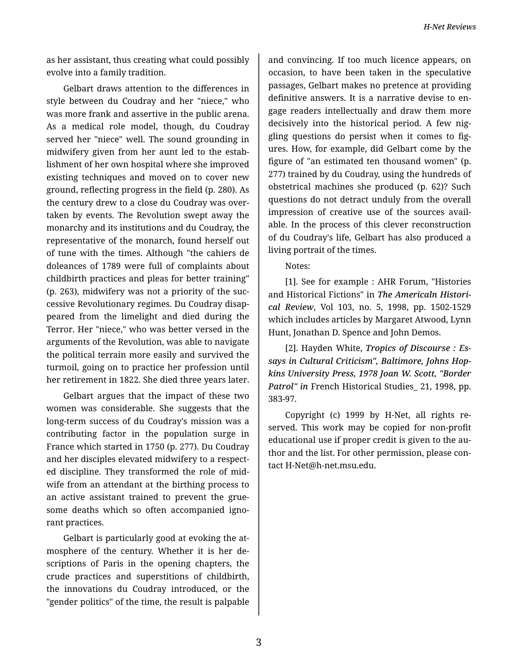*H-Net Reviews*

as her assistant, thus creating what could possibly evolve into a family tradition.

Gelbart draws attention to the differences in style between du Coudray and her "niece," who was more frank and assertive in the public arena. As a medical role model, though, du Coudray served her "niece" well. The sound grounding in midwifery given from her aunt led to the estab‐ lishment of her own hospital where she improved existing techniques and moved on to cover new ground, reflecting progress in the field (p. 280). As the century drew to a close du Coudray was over‐ taken by events. The Revolution swept away the monarchy and its institutions and du Coudray, the representative of the monarch, found herself out of tune with the times. Although "the cahiers de doleances of 1789 were full of complaints about childbirth practices and pleas for better training" (p. 263), midwifery was not a priority of the suc‐ cessive Revolutionary regimes. Du Coudray disap‐ peared from the limelight and died during the Terror. Her "niece," who was better versed in the arguments of the Revolution, was able to navigate the political terrain more easily and survived the turmoil, going on to practice her profession until her retirement in 1822. She died three years later.

Gelbart argues that the impact of these two women was considerable. She suggests that the long-term success of du Coudray's mission was a contributing factor in the population surge in France which started in 1750 (p. 277). Du Coudray and her disciples elevated midwifery to a respect‐ ed discipline. They transformed the role of mid‐ wife from an attendant at the birthing process to an active assistant trained to prevent the grue‐ some deaths which so often accompanied igno‐ rant practices.

Gelbart is particularly good at evoking the at‐ mosphere of the century. Whether it is her de‐ scriptions of Paris in the opening chapters, the crude practices and superstitions of childbirth, the innovations du Coudray introduced, or the "gender politics" of the time, the result is palpable

and convincing. If too much licence appears, on occasion, to have been taken in the speculative passages, Gelbart makes no pretence at providing definitive answers. It is a narrative devise to en‐ gage readers intellectually and draw them more decisively into the historical period. A few nig‐ gling questions do persist when it comes to fig‐ ures. How, for example, did Gelbart come by the figure of "an estimated ten thousand women" (p. 277) trained by du Coudray, using the hundreds of obstetrical machines she produced (p. 62)? Such questions do not detract unduly from the overall impression of creative use of the sources avail‐ able. In the process of this clever reconstruction of du Coudray's life, Gelbart has also produced a living portrait of the times.

Notes:

[1]. See for example : AHR Forum, "Histories and Historical Fictions" in *The Americaln Histori‐ cal Review*, Vol 103, no. 5, 1998, pp. 1502-1529 which includes articles by Margaret Atwood, Lynn Hunt, Jonathan D. Spence and John Demos.

[2]. Hayden White, *Tropics of Discourse : Es‐ says in Cultural Criticism", Baltimore, Johns Hop‐ kins University Press, 1978 Joan W. Scott, "Border Patrol" in* French Historical Studies\_ 21, 1998, pp. 383-97.

Copyright (c) 1999 by H-Net, all rights re‐ served. This work may be copied for non-profit educational use if proper credit is given to the au‐ thor and the list. For other permission, please con‐ tact H-Net@h-net.msu.edu.